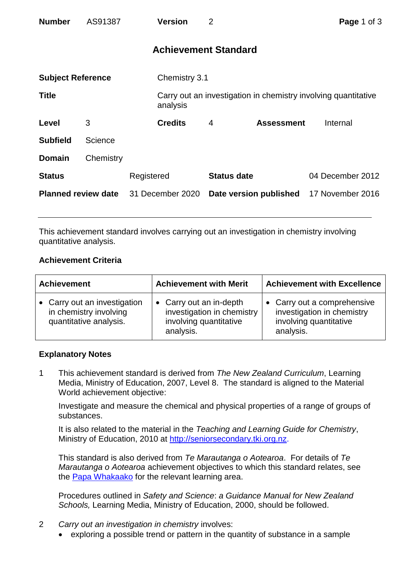| <b>Number</b>              | AS91387   |                  | <b>Version</b>              | 2                  |                                                                | Page 1 of 3      |  |
|----------------------------|-----------|------------------|-----------------------------|--------------------|----------------------------------------------------------------|------------------|--|
|                            |           |                  | <b>Achievement Standard</b> |                    |                                                                |                  |  |
| <b>Subject Reference</b>   |           |                  | Chemistry 3.1               |                    |                                                                |                  |  |
| <b>Title</b>               |           |                  | analysis                    |                    | Carry out an investigation in chemistry involving quantitative |                  |  |
| Level                      | 3         |                  | <b>Credits</b>              | 4                  | <b>Assessment</b>                                              | Internal         |  |
| <b>Subfield</b>            | Science   |                  |                             |                    |                                                                |                  |  |
| <b>Domain</b>              | Chemistry |                  |                             |                    |                                                                |                  |  |
| <b>Status</b>              |           | Registered       |                             | <b>Status date</b> |                                                                | 04 December 2012 |  |
| <b>Planned review date</b> |           | 31 December 2020 |                             |                    | Date version published                                         | 17 November 2016 |  |

This achievement standard involves carrying out an investigation in chemistry involving quantitative analysis.

## **Achievement Criteria**

| <b>Achievement</b>                                                               | <b>Achievement with Merit</b>                                                                | <b>Achievement with Excellence</b>                                                               |  |
|----------------------------------------------------------------------------------|----------------------------------------------------------------------------------------------|--------------------------------------------------------------------------------------------------|--|
| • Carry out an investigation<br>in chemistry involving<br>quantitative analysis. | • Carry out an in-depth<br>investigation in chemistry<br>involving quantitative<br>analysis. | • Carry out a comprehensive<br>investigation in chemistry<br>involving quantitative<br>analysis. |  |

## **Explanatory Notes**

1 This achievement standard is derived from *The New Zealand Curriculum*, Learning Media, Ministry of Education, 2007, Level 8. The standard is aligned to the Material World achievement objective:

Investigate and measure the chemical and physical properties of a range of groups of substances.

It is also related to the material in the *Teaching and Learning Guide for Chemistry*, Ministry of Education, 2010 at [http://seniorsecondary.tki.org.nz.](http://seniorsecondary.tki.org.nz/)

This standard is also derived from *Te Marautanga o Aotearoa*. For details of *Te Marautanga o Aotearoa* achievement objectives to which this standard relates, see the [Papa Whakaako](http://tmoa.tki.org.nz/Te-Marautanga-o-Aotearoa/Taumata-Matauranga-a-Motu-Ka-Taea) for the relevant learning area.

Procedures outlined in *Safety and Science*: *a Guidance Manual for New Zealand Schools,* Learning Media, Ministry of Education, 2000, should be followed.

- 2 *Carry out an investigation in chemistry* involves:
	- exploring a possible trend or pattern in the quantity of substance in a sample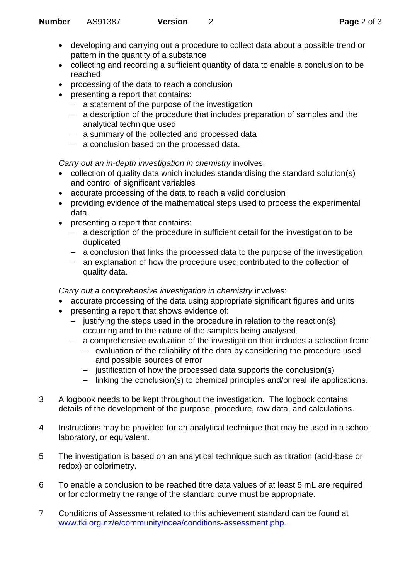- developing and carrying out a procedure to collect data about a possible trend or pattern in the quantity of a substance
- collecting and recording a sufficient quantity of data to enable a conclusion to be reached
- processing of the data to reach a conclusion
- presenting a report that contains:
	- $-$  a statement of the purpose of the investigation
	- a description of the procedure that includes preparation of samples and the analytical technique used
	- a summary of the collected and processed data
	- a conclusion based on the processed data.

*Carry out an in-depth investigation in chemistry* involves:

- collection of quality data which includes standardising the standard solution(s) and control of significant variables
- accurate processing of the data to reach a valid conclusion
- providing evidence of the mathematical steps used to process the experimental data
- presenting a report that contains:
	- a description of the procedure in sufficient detail for the investigation to be duplicated
	- a conclusion that links the processed data to the purpose of the investigation
	- an explanation of how the procedure used contributed to the collection of quality data.

*Carry out a comprehensive investigation in chemistry* involves:

- accurate processing of the data using appropriate significant figures and units
- presenting a report that shows evidence of:
	- justifying the steps used in the procedure in relation to the reaction(s) occurring and to the nature of the samples being analysed
	- a comprehensive evaluation of the investigation that includes a selection from:
		- evaluation of the reliability of the data by considering the procedure used and possible sources of error
		- $-$  justification of how the processed data supports the conclusion(s)
		- linking the conclusion(s) to chemical principles and/or real life applications.
- 3 A logbook needs to be kept throughout the investigation. The logbook contains details of the development of the purpose, procedure, raw data, and calculations.
- 4 Instructions may be provided for an analytical technique that may be used in a school laboratory, or equivalent.
- 5 The investigation is based on an analytical technique such as titration (acid-base or redox) or colorimetry.
- 6 To enable a conclusion to be reached titre data values of at least 5 mL are required or for colorimetry the range of the standard curve must be appropriate.
- 7 Conditions of Assessment related to this achievement standard can be found at [www.tki.org.nz/e/community/ncea/conditions-assessment.php.](http://www.tki.org.nz/e/community/ncea/conditions-assessment.php)